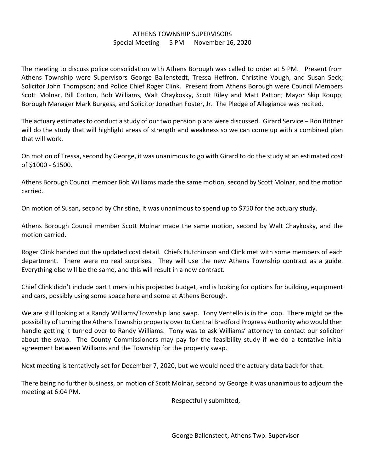## ATHENS TOWNSHIP SUPERVISORS Special Meeting 5 PM November 16, 2020

The meeting to discuss police consolidation with Athens Borough was called to order at 5 PM. Present from Athens Township were Supervisors George Ballenstedt, Tressa Heffron, Christine Vough, and Susan Seck; Solicitor John Thompson; and Police Chief Roger Clink. Present from Athens Borough were Council Members Scott Molnar, Bill Cotton, Bob Williams, Walt Chaykosky, Scott Riley and Matt Patton; Mayor Skip Roupp; Borough Manager Mark Burgess, and Solicitor Jonathan Foster, Jr. The Pledge of Allegiance was recited.

The actuary estimates to conduct a study of our two pension plans were discussed. Girard Service – Ron Bittner will do the study that will highlight areas of strength and weakness so we can come up with a combined plan that will work.

On motion of Tressa, second by George, it was unanimous to go with Girard to do the study at an estimated cost of \$1000 - \$1500.

Athens Borough Council member Bob Williams made the same motion, second by Scott Molnar, and the motion carried.

On motion of Susan, second by Christine, it was unanimous to spend up to \$750 for the actuary study.

Athens Borough Council member Scott Molnar made the same motion, second by Walt Chaykosky, and the motion carried.

Roger Clink handed out the updated cost detail. Chiefs Hutchinson and Clink met with some members of each department. There were no real surprises. They will use the new Athens Township contract as a guide. Everything else will be the same, and this will result in a new contract.

Chief Clink didn't include part timers in his projected budget, and is looking for options for building, equipment and cars, possibly using some space here and some at Athens Borough.

We are still looking at a Randy Williams/Township land swap. Tony Ventello is in the loop. There might be the possibility of turning the Athens Township property over to Central Bradford Progress Authority who would then handle getting it turned over to Randy Williams. Tony was to ask Williams' attorney to contact our solicitor about the swap. The County Commissioners may pay for the feasibility study if we do a tentative initial agreement between Williams and the Township for the property swap.

Next meeting is tentatively set for December 7, 2020, but we would need the actuary data back for that.

There being no further business, on motion of Scott Molnar, second by George it was unanimous to adjourn the meeting at 6:04 PM.

Respectfully submitted,